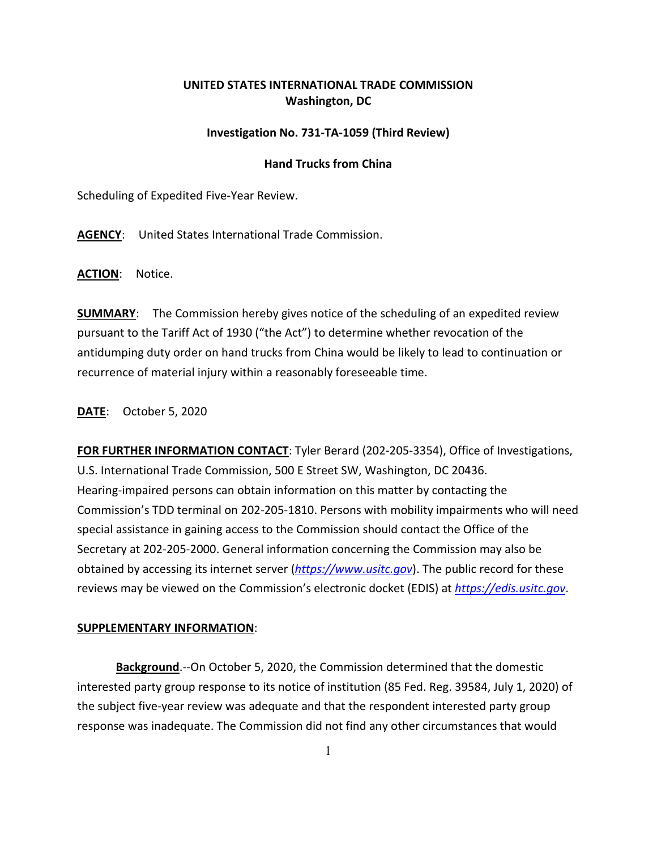## **UNITED STATES INTERNATIONAL TRADE COMMISSION Washington, DC**

## **Investigation No. 731-TA-1059 (Third Review)**

## **Hand Trucks from China**

Scheduling of Expedited Five-Year Review.

**AGENCY**: United States International Trade Commission.

**ACTION**: Notice.

**SUMMARY**: The Commission hereby gives notice of the scheduling of an expedited review pursuant to the Tariff Act of 1930 ("the Act") to determine whether revocation of the antidumping duty order on hand trucks from China would be likely to lead to continuation or recurrence of material injury within a reasonably foreseeable time.

**DATE**: October 5, 2020

**FOR FURTHER INFORMATION CONTACT**: Tyler Berard (202-205-3354), Office of Investigations, U.S. International Trade Commission, 500 E Street SW, Washington, DC 20436. Hearing-impaired persons can obtain information on this matter by contacting the Commission's TDD terminal on 202-205-1810. Persons with mobility impairments who will need special assistance in gaining access to the Commission should contact the Office of the Secretary at 202-205-2000. General information concerning the Commission may also be obtained by accessing its internet server (*[https://www.usitc.gov](https://www.usitc.gov/)*). The public record for these reviews may be viewed on the Commission's electronic docket (EDIS) at *[https://edis.usitc.gov](https://edis.usitc.gov/)*.

## **SUPPLEMENTARY INFORMATION**:

**Background**.--On October 5, 2020, the Commission determined that the domestic interested party group response to its notice of institution (85 Fed. Reg. 39584, July 1, 2020) of the subject five-year review was adequate and that the respondent interested party group response was inadequate. The Commission did not find any other circumstances that would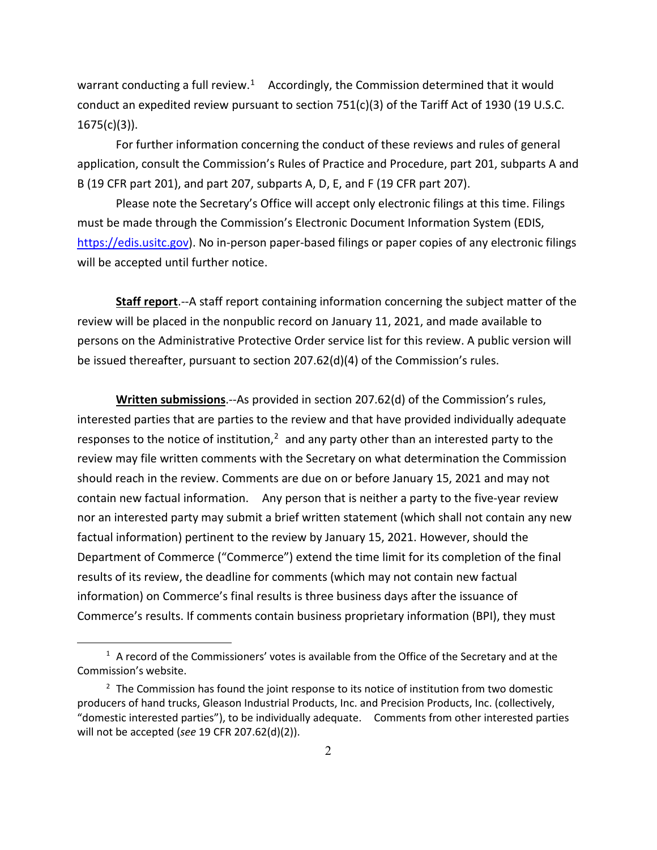warrant conducting a full review.<sup>1</sup> Accordingly, the Commission determined that it would conduct an expedited review pursuant to section 751(c)(3) of the Tariff Act of 1930 (19 U.S.C. 1675(c)(3)).

For further information concerning the conduct of these reviews and rules of general application, consult the Commission's Rules of Practice and Procedure, part 201, subparts A and B (19 CFR part 201), and part 207, subparts A, D, E, and F (19 CFR part 207).

Please note the Secretary's Office will accept only electronic filings at this time. Filings must be made through the Commission's Electronic Document Information System (EDIS, [https://edis.usitc.gov\)](https://edis.usitc.gov/). No in-person paper-based filings or paper copies of any electronic filings will be accepted until further notice.

**Staff report**.--A staff report containing information concerning the subject matter of the review will be placed in the nonpublic record on January 11, 2021, and made available to persons on the Administrative Protective Order service list for this review. A public version will be issued thereafter, pursuant to section 207.62(d)(4) of the Commission's rules.

**Written submissions**.--As provided in section 207.62(d) of the Commission's rules, interested parties that are parties to the review and that have provided individually adequate responses to the notice of institution, $<sup>2</sup>$  $<sup>2</sup>$  $<sup>2</sup>$  and any party other than an interested party to the</sup> review may file written comments with the Secretary on what determination the Commission should reach in the review. Comments are due on or before January 15, 2021 and may not contain new factual information. Any person that is neither a party to the five-year review nor an interested party may submit a brief written statement (which shall not contain any new factual information) pertinent to the review by January 15, 2021. However, should the Department of Commerce ("Commerce") extend the time limit for its completion of the final results of its review, the deadline for comments (which may not contain new factual information) on Commerce's final results is three business days after the issuance of Commerce's results. If comments contain business proprietary information (BPI), they must

<span id="page-1-0"></span> $1$  A record of the Commissioners' votes is available from the Office of the Secretary and at the Commission's website.

<span id="page-1-1"></span> $2$  The Commission has found the joint response to its notice of institution from two domestic producers of hand trucks, Gleason Industrial Products, Inc. and Precision Products, Inc. (collectively, "domestic interested parties"), to be individually adequate. Comments from other interested parties will not be accepted (*see* 19 CFR 207.62(d)(2)).